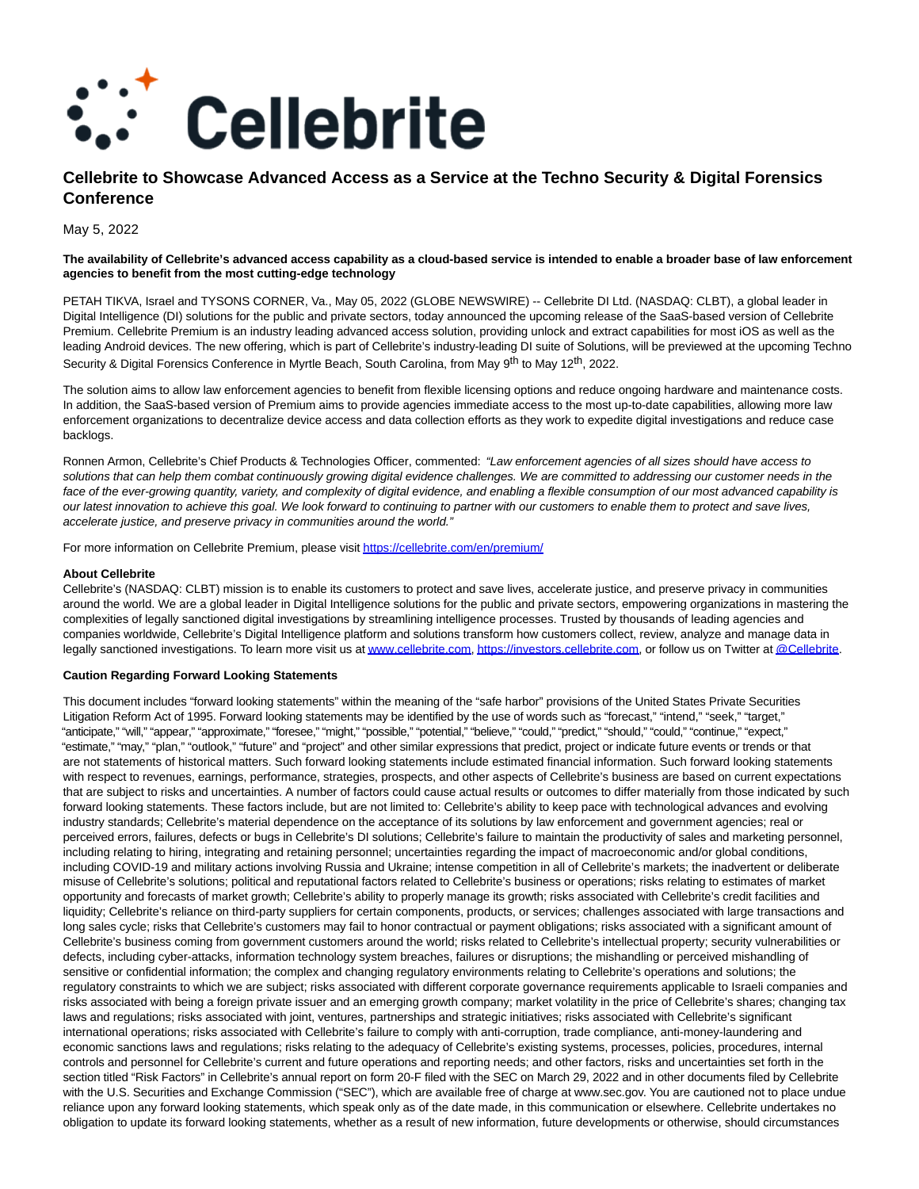

# **Cellebrite to Showcase Advanced Access as a Service at the Techno Security & Digital Forensics Conference**

May 5, 2022

#### **The availability of Cellebrite's advanced access capability as a cloud-based service is intended to enable a broader base of law enforcement agencies to benefit from the most cutting-edge technology**

PETAH TIKVA, Israel and TYSONS CORNER, Va., May 05, 2022 (GLOBE NEWSWIRE) -- Cellebrite DI Ltd. (NASDAQ: CLBT), a global leader in Digital Intelligence (DI) solutions for the public and private sectors, today announced the upcoming release of the SaaS-based version of Cellebrite Premium. Cellebrite Premium is an industry leading advanced access solution, providing unlock and extract capabilities for most iOS as well as the leading Android devices. The new offering, which is part of Cellebrite's industry-leading DI suite of Solutions, will be previewed at the upcoming Techno Security & Digital Forensics Conference in Myrtle Beach, South Carolina, from May 9<sup>th</sup> to May 12<sup>th</sup>, 2022.

The solution aims to allow law enforcement agencies to benefit from flexible licensing options and reduce ongoing hardware and maintenance costs. In addition, the SaaS-based version of Premium aims to provide agencies immediate access to the most up-to-date capabilities, allowing more law enforcement organizations to decentralize device access and data collection efforts as they work to expedite digital investigations and reduce case backlogs.

Ronnen Armon, Cellebrite's Chief Products & Technologies Officer, commented: "Law enforcement agencies of all sizes should have access to solutions that can help them combat continuously growing digital evidence challenges. We are committed to addressing our customer needs in the face of the ever-growing quantity, variety, and complexity of digital evidence, and enabling a flexible consumption of our most advanced capability is our latest innovation to achieve this goal. We look forward to continuing to partner with our customers to enable them to protect and save lives, accelerate justice, and preserve privacy in communities around the world."

For more information on Cellebrite Premium, please visi[t https://cellebrite.com/en/premium/](https://www.globenewswire.com/Tracker?data=qHQjTtTxuzjI4JGh7xByanQIV3nK8wy4NNj31a3DLj8rMeaGqWIOZxAwY3-UyM_mKVXDkao02sCY0Q9pr-DHb3dGVxrHZZpP1rnXwa7xNsJ55UVQelWPlG699kAzNvNH)

## **About Cellebrite**

Cellebrite's (NASDAQ: CLBT) mission is to enable its customers to protect and save lives, accelerate justice, and preserve privacy in communities around the world. We are a global leader in Digital Intelligence solutions for the public and private sectors, empowering organizations in mastering the complexities of legally sanctioned digital investigations by streamlining intelligence processes. Trusted by thousands of leading agencies and companies worldwide, Cellebrite's Digital Intelligence platform and solutions transform how customers collect, review, analyze and manage data in legally sanctioned investigations. To learn more visit us a[t www.cellebrite.com,](https://www.globenewswire.com/Tracker?data=48LJ68HAMwQAQXCtwlCywpY_G_s9gu5C70sRt7re4DpP0EPet_HTrnIk3c-e80R0YQBq2p4-__zt1Qb_kY33GeIisGxxwUn-Ra0udIvFM70=) [https://investors.cellebrite.com,](https://www.globenewswire.com/Tracker?data=qHQjTtTxuzjI4JGh7xByahCjRWHk8J7rsSNiwD0eii78uv0npDxVj57s-_1MF9zuj67e37IVlkm0pQnfMyVCQVyX6ortYz32tHEQWELCZjrm54C8-FgEc0IFW99m4gwG) or follow us on Twitter a[t @Cellebrite.](https://www.globenewswire.com/Tracker?data=pege7bji6Bh-IFHF4fqj2qQKJ4PFccZ9puAR7N-2SwQBZNAreok4BqVGcl9M0xQbC0_bajqldkoFcmJsZyw-zQ==)

## **Caution Regarding Forward Looking Statements**

This document includes "forward looking statements" within the meaning of the "safe harbor" provisions of the United States Private Securities Litigation Reform Act of 1995. Forward looking statements may be identified by the use of words such as "forecast," "intend," "seek," "target," "anticipate," "will," "appear," "approximate," "foresee," "might," "possible," "potential," "believe," "could," "predict," "should," "could," "continue," "expect," "estimate," "may," "plan," "outlook," "future" and "project" and other similar expressions that predict, project or indicate future events or trends or that are not statements of historical matters. Such forward looking statements include estimated financial information. Such forward looking statements with respect to revenues, earnings, performance, strategies, prospects, and other aspects of Cellebrite's business are based on current expectations that are subject to risks and uncertainties. A number of factors could cause actual results or outcomes to differ materially from those indicated by such forward looking statements. These factors include, but are not limited to: Cellebrite's ability to keep pace with technological advances and evolving industry standards; Cellebrite's material dependence on the acceptance of its solutions by law enforcement and government agencies; real or perceived errors, failures, defects or bugs in Cellebrite's DI solutions; Cellebrite's failure to maintain the productivity of sales and marketing personnel, including relating to hiring, integrating and retaining personnel; uncertainties regarding the impact of macroeconomic and/or global conditions, including COVID-19 and military actions involving Russia and Ukraine; intense competition in all of Cellebrite's markets; the inadvertent or deliberate misuse of Cellebrite's solutions; political and reputational factors related to Cellebrite's business or operations; risks relating to estimates of market opportunity and forecasts of market growth; Cellebrite's ability to properly manage its growth; risks associated with Cellebrite's credit facilities and liquidity; Cellebrite's reliance on third-party suppliers for certain components, products, or services; challenges associated with large transactions and long sales cycle; risks that Cellebrite's customers may fail to honor contractual or payment obligations; risks associated with a significant amount of Cellebrite's business coming from government customers around the world; risks related to Cellebrite's intellectual property; security vulnerabilities or defects, including cyber-attacks, information technology system breaches, failures or disruptions; the mishandling or perceived mishandling of sensitive or confidential information; the complex and changing regulatory environments relating to Cellebrite's operations and solutions; the regulatory constraints to which we are subject; risks associated with different corporate governance requirements applicable to Israeli companies and risks associated with being a foreign private issuer and an emerging growth company; market volatility in the price of Cellebrite's shares; changing tax laws and regulations; risks associated with joint, ventures, partnerships and strategic initiatives; risks associated with Cellebrite's significant international operations; risks associated with Cellebrite's failure to comply with anti-corruption, trade compliance, anti-money-laundering and economic sanctions laws and regulations; risks relating to the adequacy of Cellebrite's existing systems, processes, policies, procedures, internal controls and personnel for Cellebrite's current and future operations and reporting needs; and other factors, risks and uncertainties set forth in the section titled "Risk Factors" in Cellebrite's annual report on form 20-F filed with the SEC on March 29, 2022 and in other documents filed by Cellebrite with the U.S. Securities and Exchange Commission ("SEC"), which are available free of charge at www.sec.gov. You are cautioned not to place undue reliance upon any forward looking statements, which speak only as of the date made, in this communication or elsewhere. Cellebrite undertakes no obligation to update its forward looking statements, whether as a result of new information, future developments or otherwise, should circumstances